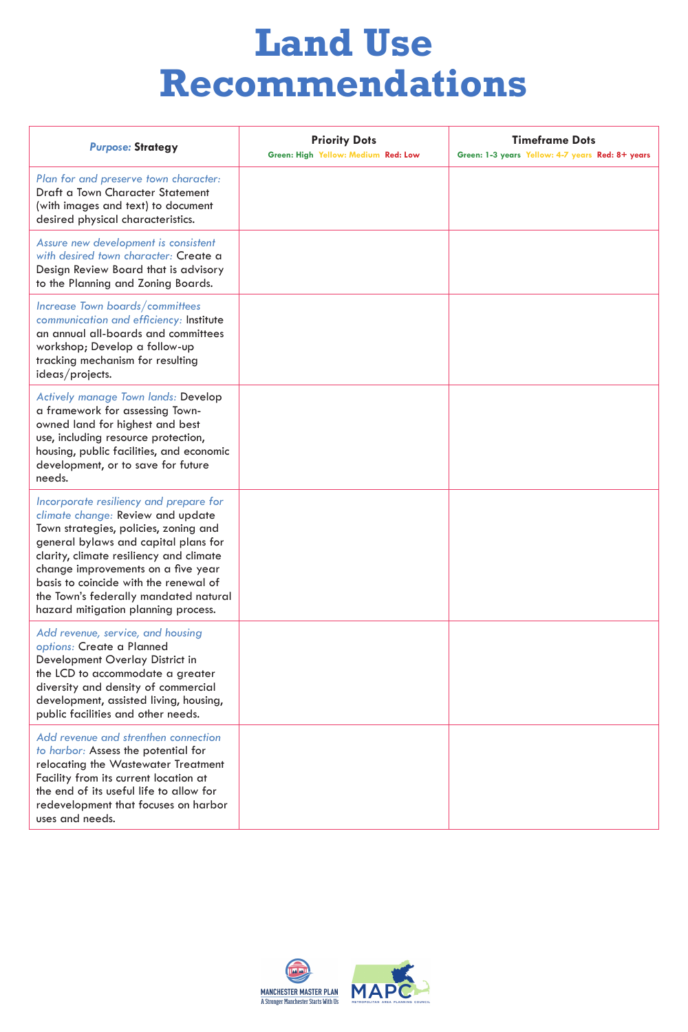| <b>Purpose: Strategy</b>                                                                                                                                    | <b>Priority Dots</b><br>Green: High Yellow: Medium Red: Low | <b>Timeframe Dots</b><br>Green: 1-3 years Yellow: 4-7 years Red: 8+ years |
|-------------------------------------------------------------------------------------------------------------------------------------------------------------|-------------------------------------------------------------|---------------------------------------------------------------------------|
| Plan for and preserve town character:<br>Draft a Town Character Statement<br>(with images and text) to document<br>desired physical characteristics.        |                                                             |                                                                           |
| Assure new development is consistent<br>with desired town character: Create a<br>Design Review Board that is advisory<br>to the Planning and Zoning Boards. |                                                             |                                                                           |
| Increase Town boards/committees<br>communication and efficiency: Institute<br>an annual all-boards and committees<br>workshop; Develop a follow-up          |                                                             |                                                                           |

| tracking mechanism for resulting<br>ideas/projects.                                                                                                                                                                                                                                                                                                                    |  |
|------------------------------------------------------------------------------------------------------------------------------------------------------------------------------------------------------------------------------------------------------------------------------------------------------------------------------------------------------------------------|--|
| <b>Actively manage Town lands: Develop</b><br>a framework for assessing Town-<br>owned land for highest and best<br>use, including resource protection,<br>housing, public facilities, and economic<br>development, or to save for future<br>needs.                                                                                                                    |  |
| Incorporate resiliency and prepare for<br>climate change: Review and update<br>Town strategies, policies, zoning and<br>general bylaws and capital plans for<br>clarity, climate resiliency and climate<br>change improvements on a five year<br>basis to coincide with the renewal of<br>the Town's federally mandated natural<br>hazard mitigation planning process. |  |
| Add revenue, service, and housing<br>options: Create a Planned<br>Development Overlay District in<br>the LCD to accommodate a greater<br>diversity and density of commercial<br>development, assisted living, housing,<br>public facilities and other needs.                                                                                                           |  |

| PONIIC TUCHIILOJ UHU UHICI HOOUJ.                                                                                                                                                                                                                                 |  |
|-------------------------------------------------------------------------------------------------------------------------------------------------------------------------------------------------------------------------------------------------------------------|--|
| Add revenue and strenthen connection<br>to harbor: Assess the potential for<br>relocating the Wastewater Treatment<br>Facility from its current location at<br>the end of its useful life to allow for<br>redevelopment that focuses on harbor<br>uses and needs. |  |
|                                                                                                                                                                                                                                                                   |  |



### **Land Use Recommendations**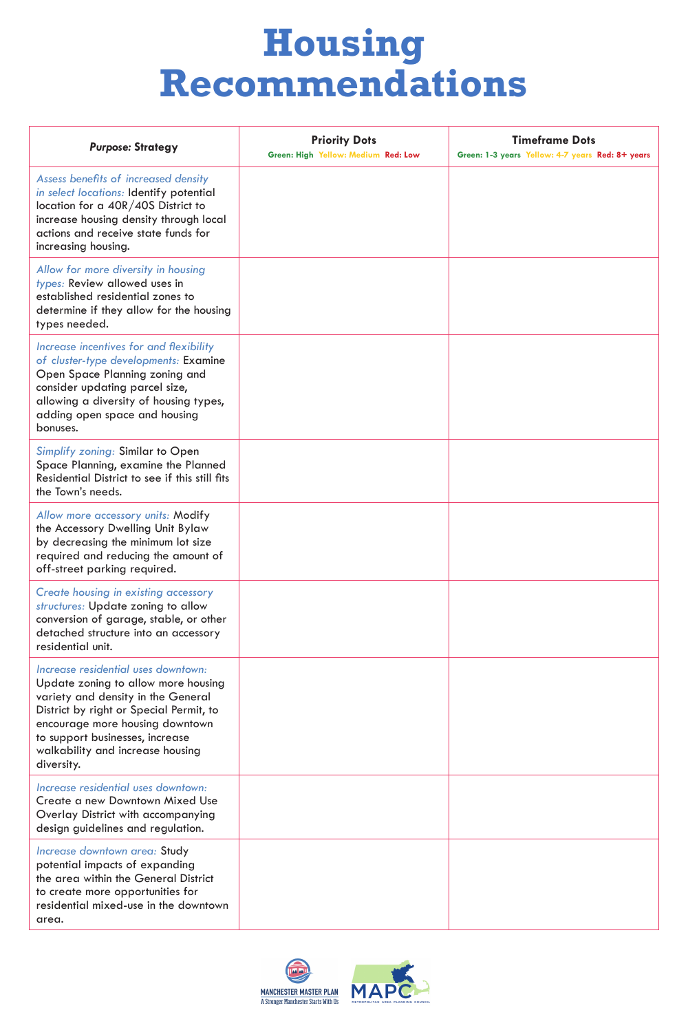| <b>Purpose: Strategy</b>                                                                                                                                                                                                      | <b>Priority Dots</b><br>Green: High Yellow: Medium Red: Low | <b>Timeframe Dots</b><br>Green: 1-3 years Yellow: 4-7 years Red: 8+ years |
|-------------------------------------------------------------------------------------------------------------------------------------------------------------------------------------------------------------------------------|-------------------------------------------------------------|---------------------------------------------------------------------------|
| Assess benefits of increased density<br>in select locations: Identify potential<br>location for a 40R/40S District to<br>increase housing density through local<br>actions and receive state funds for<br>increasing housing. |                                                             |                                                                           |
| Allow for more diversity in housing<br>types: Review allowed uses in<br>established residential zones to<br>determine if they allow for the housing<br>types needed.                                                          |                                                             |                                                                           |
| Increase incentives for and flexibility                                                                                                                                                                                       |                                                             |                                                                           |

| of cluster-type developments: Examine<br>Open Space Planning zoning and<br>consider updating parcel size,<br>allowing a diversity of housing types,<br>adding open space and housing<br>bonuses.                                                                                    |  |
|-------------------------------------------------------------------------------------------------------------------------------------------------------------------------------------------------------------------------------------------------------------------------------------|--|
| <b>Simplify zoning: Similar to Open</b><br>Space Planning, examine the Planned<br>Residential District to see if this still fits<br>the Town's needs.                                                                                                                               |  |
| Allow more accessory units: Modify<br>the Accessory Dwelling Unit Bylaw<br>by decreasing the minimum lot size<br>required and reducing the amount of<br>off-street parking required.                                                                                                |  |
| <b>Create housing in existing accessory</b><br>structures: Update zoning to allow<br>conversion of garage, stable, or other<br>detached structure into an accessory<br>residential unit.                                                                                            |  |
| Increase residential uses downtown:<br>Update zoning to allow more housing<br>variety and density in the General<br>District by right or Special Permit, to<br>encourage more housing downtown<br>to support businesses, increase<br>walkability and increase housing<br>diversity. |  |
| Increase residential uses downtown:<br>Create a new Downtown Mixed Use<br><b>Overlay District with accompanying</b><br>design guidelines and regulation.                                                                                                                            |  |
| Increase downtown area: Study<br>potential impacts of expanding<br>the area within the General District<br>to create more opportunities for<br>residential mixed-use in the downtown<br>area.                                                                                       |  |



# **Housing Recommendations**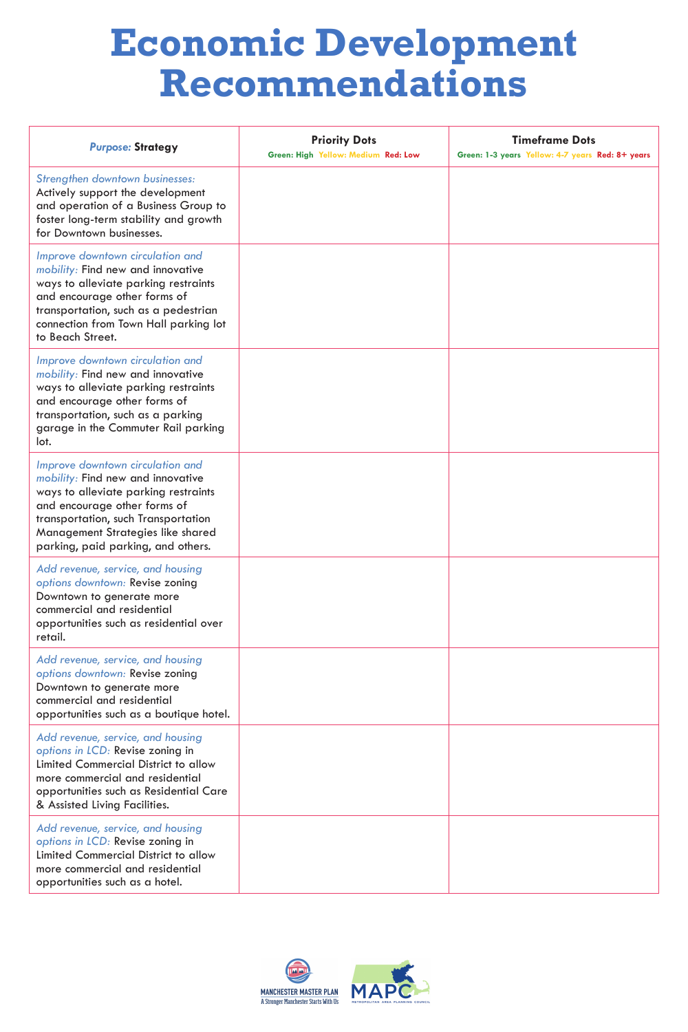| <b>Purpose: Strategy</b>                                                                                                                                                                                                                           | <b>Priority Dots</b><br>Green: High Yellow: Medium Red: Low | <b>Timeframe Dots</b><br>Green: 1-3 years Yellow: 4-7 years Red: 8+ years |
|----------------------------------------------------------------------------------------------------------------------------------------------------------------------------------------------------------------------------------------------------|-------------------------------------------------------------|---------------------------------------------------------------------------|
| Strengthen downtown businesses:<br>Actively support the development<br>and operation of a Business Group to<br>foster long-term stability and growth<br>for Downtown businesses.                                                                   |                                                             |                                                                           |
| Improve downtown circulation and<br>mobility: Find new and innovative<br>ways to alleviate parking restraints<br>and encourage other forms of<br>transportation, such as a pedestrian<br>connection from Town Hall parking lot<br>to Beach Street. |                                                             |                                                                           |

| Improve downtown circulation and<br>mobility: Find new and innovative<br>ways to alleviate parking restraints<br>and encourage other forms of<br>transportation, such as a parking<br>garage in the Commuter Rail parking<br>lot.                                      |  |
|------------------------------------------------------------------------------------------------------------------------------------------------------------------------------------------------------------------------------------------------------------------------|--|
| Improve downtown circulation and<br>mobility: Find new and innovative<br>ways to alleviate parking restraints<br>and encourage other forms of<br>transportation, such Transportation<br><b>Management Strategies like shared</b><br>parking, paid parking, and others. |  |
| Add revenue, service, and housing<br>options downtown: Revise zoning<br>Downtown to generate more<br>commercial and residential<br>opportunities such as residential over<br>retail.                                                                                   |  |
| Add revenue, service, and housing<br>options downtown: Revise zoning<br>Downtown to generate more<br>commercial and residential<br>opportunities such as a boutique hotel.                                                                                             |  |

| opportunities such as a pounque noien.                                                                                                                                                                                             |  |
|------------------------------------------------------------------------------------------------------------------------------------------------------------------------------------------------------------------------------------|--|
| Add revenue, service, and housing<br>options in LCD: Revise zoning in<br><b>Limited Commercial District to allow</b><br>more commercial and residential<br>opportunities such as Residential Care<br>& Assisted Living Facilities. |  |
| Add revenue, service, and housing<br>options in LCD: Revise zoning in<br><b>Limited Commercial District to allow</b><br>more commercial and residential<br>opportunities such as a hotel.                                          |  |



# **Economic Development Recommendations**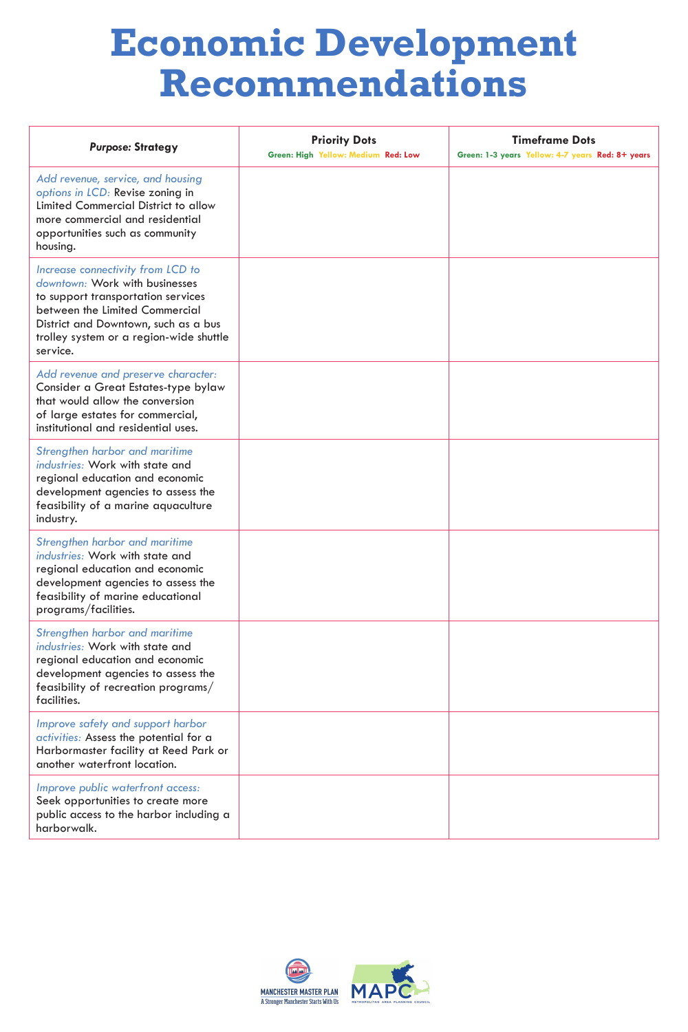# **Economic Development Recommendations**

| <b>Purpose: Strategy</b>                                                                                                                                                                                                                   | <b>Priority Dots</b><br>Green: High Yellow: Medium Red: Low | <b>Timeframe Dots</b><br>Green: 1-3 years Yellow: 4-7 years Red: 8+ years |
|--------------------------------------------------------------------------------------------------------------------------------------------------------------------------------------------------------------------------------------------|-------------------------------------------------------------|---------------------------------------------------------------------------|
| Add revenue, service, and housing<br>options in LCD: Revise zoning in<br><b>Limited Commercial District to allow</b><br>more commercial and residential<br>opportunities such as community<br>housing.                                     |                                                             |                                                                           |
| Increase connectivity from LCD to<br>downtown: Work with businesses<br>to support transportation services<br>between the Limited Commercial<br>District and Downtown, such as a bus<br>trolley system or a region-wide shuttle<br>service. |                                                             |                                                                           |

| Add revenue and preserve character:<br>Consider a Great Estates-type bylaw<br>that would allow the conversion<br>of large estates for commercial,<br>institutional and residential uses.                       |  |
|----------------------------------------------------------------------------------------------------------------------------------------------------------------------------------------------------------------|--|
| <b>Strengthen harbor and maritime</b><br>industries: Work with state and<br>regional education and economic<br>development agencies to assess the<br>feasibility of a marine aquaculture<br>industry.          |  |
| <b>Strengthen harbor and maritime</b><br>industries: Work with state and<br>regional education and economic<br>development agencies to assess the<br>feasibility of marine educational<br>programs/facilities. |  |
| <b>Strengthen harbor and maritime</b><br>industries: Work with state and<br>regional education and economic<br>development agencies to assess the<br>feasibility of recreation programs/<br>facilities.        |  |

| Improve safety and support harbor<br>activities: Assess the potential for a<br>Harbormaster facility at Reed Park or<br>another waterfront location. |  |
|------------------------------------------------------------------------------------------------------------------------------------------------------|--|
| Improve public waterfront access:<br>Seek opportunities to create more<br>public access to the harbor including a<br>harborwalk.                     |  |